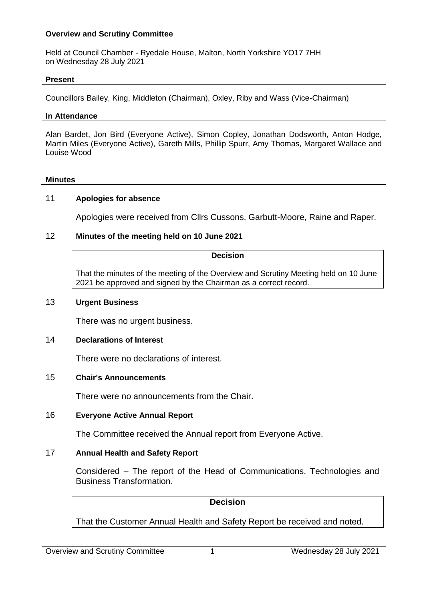### **Overview and Scrutiny Committee**

Held at Council Chamber - Ryedale House, Malton, North Yorkshire YO17 7HH on Wednesday 28 July 2021

#### **Present**

Councillors Bailey, King, Middleton (Chairman), Oxley, Riby and Wass (Vice-Chairman)

### **In Attendance**

Alan Bardet, Jon Bird (Everyone Active), Simon Copley, Jonathan Dodsworth, Anton Hodge, Martin Miles (Everyone Active), Gareth Mills, Phillip Spurr, Amy Thomas, Margaret Wallace and Louise Wood

#### **Minutes**

### 11 **Apologies for absence**

Apologies were received from Cllrs Cussons, Garbutt-Moore, Raine and Raper.

### 12 **Minutes of the meeting held on 10 June 2021**

### **Decision**

That the minutes of the meeting of the Overview and Scrutiny Meeting held on 10 June 2021 be approved and signed by the Chairman as a correct record.

### 13 **Urgent Business**

There was no urgent business.

### 14 **Declarations of Interest**

There were no declarations of interest.

### 15 **Chair's Announcements**

There were no announcements from the Chair.

### 16 **Everyone Active Annual Report**

The Committee received the Annual report from Everyone Active.

### 17 **Annual Health and Safety Report**

Considered – The report of the Head of Communications, Technologies and Business Transformation.

## **Decision**

That the Customer Annual Health and Safety Report be received and noted.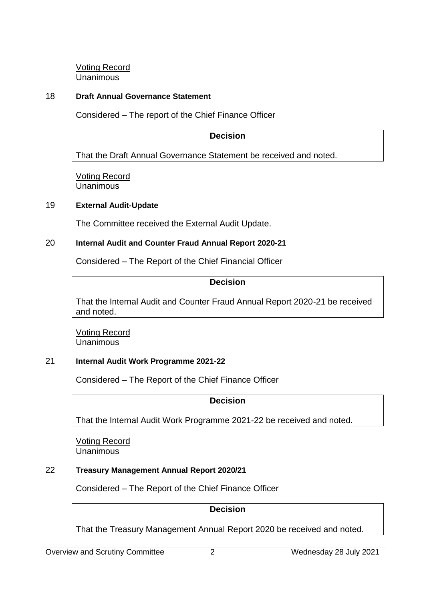Voting Record Unanimous

# 18 **Draft Annual Governance Statement**

Considered – The report of the Chief Finance Officer

# **Decision**

That the Draft Annual Governance Statement be received and noted.

Voting Record Unanimous

## 19 **External Audit-Update**

The Committee received the External Audit Update.

## 20 **Internal Audit and Counter Fraud Annual Report 2020-21**

Considered – The Report of the Chief Financial Officer

# **Decision**

That the Internal Audit and Counter Fraud Annual Report 2020-21 be received and noted.

Voting Record Unanimous

# 21 **Internal Audit Work Programme 2021-22**

Considered – The Report of the Chief Finance Officer

**Decision**

That the Internal Audit Work Programme 2021-22 be received and noted.

Voting Record Unanimous

# 22 **Treasury Management Annual Report 2020/21**

Considered – The Report of the Chief Finance Officer

**Decision**

That the Treasury Management Annual Report 2020 be received and noted.